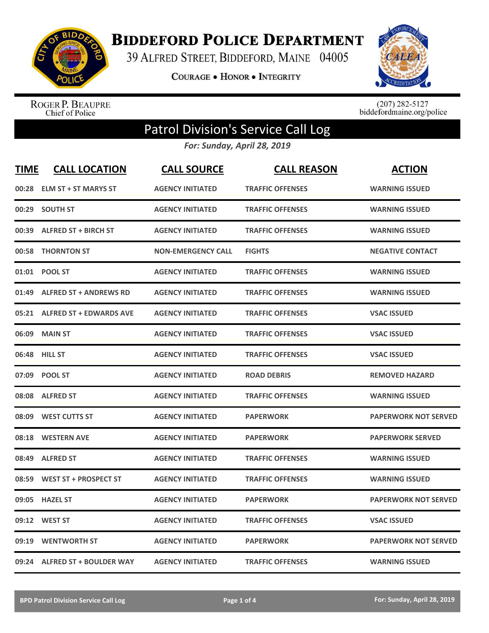

**BIDDEFORD POLICE DEPARTMENT** 

39 ALFRED STREET, BIDDEFORD, MAINE 04005

COURAGE . HONOR . INTEGRITY



ROGER P. BEAUPRE<br>Chief of Police

 $(207)$  282-5127<br>biddefordmaine.org/police

## Patrol Division's Service Call Log

*For: Sunday, April 28, 2019*

| <b>TIME</b> | <b>CALL LOCATION</b>           | <b>CALL SOURCE</b>        | <b>CALL REASON</b>      | <b>ACTION</b>               |
|-------------|--------------------------------|---------------------------|-------------------------|-----------------------------|
|             | 00:28 ELM ST + ST MARYS ST     | <b>AGENCY INITIATED</b>   | <b>TRAFFIC OFFENSES</b> | <b>WARNING ISSUED</b>       |
| 00:29       | <b>SOUTH ST</b>                | <b>AGENCY INITIATED</b>   | <b>TRAFFIC OFFENSES</b> | <b>WARNING ISSUED</b>       |
| 00:39       | <b>ALFRED ST + BIRCH ST</b>    | <b>AGENCY INITIATED</b>   | <b>TRAFFIC OFFENSES</b> | <b>WARNING ISSUED</b>       |
| 00:58       | <b>THORNTON ST</b>             | <b>NON-EMERGENCY CALL</b> | <b>FIGHTS</b>           | <b>NEGATIVE CONTACT</b>     |
| 01:01       | <b>POOL ST</b>                 | <b>AGENCY INITIATED</b>   | <b>TRAFFIC OFFENSES</b> | <b>WARNING ISSUED</b>       |
| 01:49       | <b>ALFRED ST + ANDREWS RD</b>  | <b>AGENCY INITIATED</b>   | <b>TRAFFIC OFFENSES</b> | <b>WARNING ISSUED</b>       |
| 05:21       | <b>ALFRED ST + EDWARDS AVE</b> | <b>AGENCY INITIATED</b>   | <b>TRAFFIC OFFENSES</b> | <b>VSAC ISSUED</b>          |
| 06:09       | <b>MAIN ST</b>                 | <b>AGENCY INITIATED</b>   | <b>TRAFFIC OFFENSES</b> | <b>VSAC ISSUED</b>          |
| 06:48       | <b>HILL ST</b>                 | <b>AGENCY INITIATED</b>   | <b>TRAFFIC OFFENSES</b> | <b>VSAC ISSUED</b>          |
| 07:09       | <b>POOL ST</b>                 | <b>AGENCY INITIATED</b>   | <b>ROAD DEBRIS</b>      | <b>REMOVED HAZARD</b>       |
| 08:08       | <b>ALFRED ST</b>               | <b>AGENCY INITIATED</b>   | <b>TRAFFIC OFFENSES</b> | <b>WARNING ISSUED</b>       |
| 08:09       | <b>WEST CUTTS ST</b>           | <b>AGENCY INITIATED</b>   | <b>PAPERWORK</b>        | <b>PAPERWORK NOT SERVED</b> |
| 08:18       | <b>WESTERN AVE</b>             | <b>AGENCY INITIATED</b>   | <b>PAPERWORK</b>        | <b>PAPERWORK SERVED</b>     |
| 08:49       | <b>ALFRED ST</b>               | <b>AGENCY INITIATED</b>   | <b>TRAFFIC OFFENSES</b> | <b>WARNING ISSUED</b>       |
| 08:59       | <b>WEST ST + PROSPECT ST</b>   | <b>AGENCY INITIATED</b>   | <b>TRAFFIC OFFENSES</b> | <b>WARNING ISSUED</b>       |
| 09:05       | <b>HAZEL ST</b>                | <b>AGENCY INITIATED</b>   | <b>PAPERWORK</b>        | <b>PAPERWORK NOT SERVED</b> |
| 09:12       | <b>WEST ST</b>                 | <b>AGENCY INITIATED</b>   | <b>TRAFFIC OFFENSES</b> | <b>VSAC ISSUED</b>          |
| 09:19       | <b>WENTWORTH ST</b>            | <b>AGENCY INITIATED</b>   | <b>PAPERWORK</b>        | <b>PAPERWORK NOT SERVED</b> |
|             | 09:24 ALFRED ST + BOULDER WAY  | <b>AGENCY INITIATED</b>   | <b>TRAFFIC OFFENSES</b> | <b>WARNING ISSUED</b>       |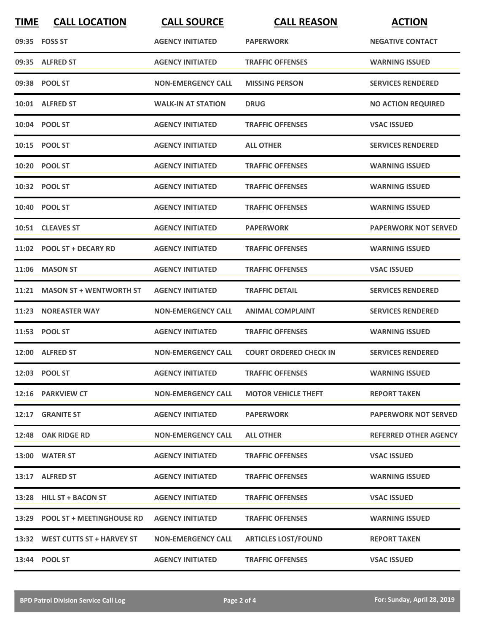| <b>TIME</b> | <b>CALL LOCATION</b>            | <b>CALL SOURCE</b>        | <b>CALL REASON</b>            | <b>ACTION</b>                |
|-------------|---------------------------------|---------------------------|-------------------------------|------------------------------|
|             | 09:35 FOSS ST                   | <b>AGENCY INITIATED</b>   | <b>PAPERWORK</b>              | <b>NEGATIVE CONTACT</b>      |
|             | 09:35 ALFRED ST                 | <b>AGENCY INITIATED</b>   | <b>TRAFFIC OFFENSES</b>       | <b>WARNING ISSUED</b>        |
|             | 09:38 POOL ST                   | <b>NON-EMERGENCY CALL</b> | <b>MISSING PERSON</b>         | <b>SERVICES RENDERED</b>     |
|             | 10:01 ALFRED ST                 | <b>WALK-IN AT STATION</b> | <b>DRUG</b>                   | <b>NO ACTION REQUIRED</b>    |
|             | 10:04 POOL ST                   | <b>AGENCY INITIATED</b>   | <b>TRAFFIC OFFENSES</b>       | <b>VSAC ISSUED</b>           |
|             | 10:15 POOL ST                   | <b>AGENCY INITIATED</b>   | <b>ALL OTHER</b>              | <b>SERVICES RENDERED</b>     |
|             | 10:20 POOL ST                   | <b>AGENCY INITIATED</b>   | <b>TRAFFIC OFFENSES</b>       | <b>WARNING ISSUED</b>        |
|             | 10:32 POOL ST                   | <b>AGENCY INITIATED</b>   | <b>TRAFFIC OFFENSES</b>       | <b>WARNING ISSUED</b>        |
|             | 10:40 POOL ST                   | <b>AGENCY INITIATED</b>   | <b>TRAFFIC OFFENSES</b>       | <b>WARNING ISSUED</b>        |
|             | 10:51 CLEAVES ST                | <b>AGENCY INITIATED</b>   | <b>PAPERWORK</b>              | <b>PAPERWORK NOT SERVED</b>  |
|             | 11:02 POOL ST + DECARY RD       | <b>AGENCY INITIATED</b>   | <b>TRAFFIC OFFENSES</b>       | <b>WARNING ISSUED</b>        |
| 11:06       | <b>MASON ST</b>                 | <b>AGENCY INITIATED</b>   | <b>TRAFFIC OFFENSES</b>       | <b>VSAC ISSUED</b>           |
| 11:21       | <b>MASON ST + WENTWORTH ST</b>  | <b>AGENCY INITIATED</b>   | <b>TRAFFIC DETAIL</b>         | <b>SERVICES RENDERED</b>     |
| 11:23       | <b>NOREASTER WAY</b>            | <b>NON-EMERGENCY CALL</b> | <b>ANIMAL COMPLAINT</b>       | <b>SERVICES RENDERED</b>     |
|             | 11:53 POOL ST                   | <b>AGENCY INITIATED</b>   | <b>TRAFFIC OFFENSES</b>       | <b>WARNING ISSUED</b>        |
|             | 12:00 ALFRED ST                 | <b>NON-EMERGENCY CALL</b> | <b>COURT ORDERED CHECK IN</b> | <b>SERVICES RENDERED</b>     |
|             | 12:03 POOL ST                   | <b>AGENCY INITIATED</b>   | <b>TRAFFIC OFFENSES</b>       | <b>WARNING ISSUED</b>        |
|             | 12:16 PARKVIEW CT               | <b>NON-EMERGENCY CALL</b> | <b>MOTOR VEHICLE THEFT</b>    | <b>REPORT TAKEN</b>          |
|             | 12:17 GRANITE ST                | <b>AGENCY INITIATED</b>   | <b>PAPERWORK</b>              | <b>PAPERWORK NOT SERVED</b>  |
|             | 12:48 OAK RIDGE RD              | <b>NON-EMERGENCY CALL</b> | <b>ALL OTHER</b>              | <b>REFERRED OTHER AGENCY</b> |
|             | 13:00 WATER ST                  | <b>AGENCY INITIATED</b>   | <b>TRAFFIC OFFENSES</b>       | <b>VSAC ISSUED</b>           |
|             | 13:17 ALFRED ST                 | <b>AGENCY INITIATED</b>   | <b>TRAFFIC OFFENSES</b>       | <b>WARNING ISSUED</b>        |
|             | 13:28 HILL ST + BACON ST        | <b>AGENCY INITIATED</b>   | <b>TRAFFIC OFFENSES</b>       | <b>VSAC ISSUED</b>           |
|             | 13:29 POOL ST + MEETINGHOUSE RD | <b>AGENCY INITIATED</b>   | <b>TRAFFIC OFFENSES</b>       | <b>WARNING ISSUED</b>        |
|             | 13:32 WEST CUTTS ST + HARVEY ST | <b>NON-EMERGENCY CALL</b> | <b>ARTICLES LOST/FOUND</b>    | <b>REPORT TAKEN</b>          |
|             | 13:44 POOL ST                   | <b>AGENCY INITIATED</b>   | <b>TRAFFIC OFFENSES</b>       | <b>VSAC ISSUED</b>           |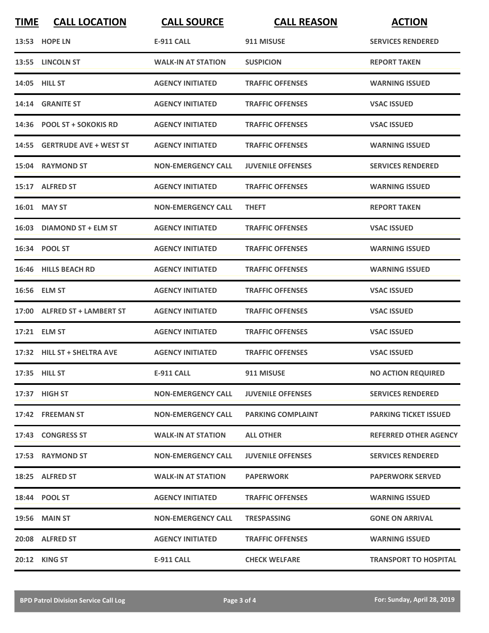| <b>TIME</b> | <b>CALL LOCATION</b>         | <b>CALL SOURCE</b>        | <b>CALL REASON</b>       | <b>ACTION</b>                |
|-------------|------------------------------|---------------------------|--------------------------|------------------------------|
|             | 13:53 HOPE LN                | <b>E-911 CALL</b>         | 911 MISUSE               | <b>SERVICES RENDERED</b>     |
|             | 13:55 LINCOLN ST             | <b>WALK-IN AT STATION</b> | <b>SUSPICION</b>         | <b>REPORT TAKEN</b>          |
|             | 14:05 HILL ST                | <b>AGENCY INITIATED</b>   | <b>TRAFFIC OFFENSES</b>  | <b>WARNING ISSUED</b>        |
|             | 14:14 GRANITE ST             | <b>AGENCY INITIATED</b>   | <b>TRAFFIC OFFENSES</b>  | <b>VSAC ISSUED</b>           |
|             | 14:36 POOL ST + SOKOKIS RD   | <b>AGENCY INITIATED</b>   | <b>TRAFFIC OFFENSES</b>  | <b>VSAC ISSUED</b>           |
|             | 14:55 GERTRUDE AVE + WEST ST | <b>AGENCY INITIATED</b>   | <b>TRAFFIC OFFENSES</b>  | <b>WARNING ISSUED</b>        |
|             | 15:04 RAYMOND ST             | <b>NON-EMERGENCY CALL</b> | <b>JUVENILE OFFENSES</b> | <b>SERVICES RENDERED</b>     |
|             | 15:17 ALFRED ST              | <b>AGENCY INITIATED</b>   | <b>TRAFFIC OFFENSES</b>  | <b>WARNING ISSUED</b>        |
|             | 16:01 MAY ST                 | <b>NON-EMERGENCY CALL</b> | <b>THEFT</b>             | <b>REPORT TAKEN</b>          |
|             | 16:03 DIAMOND ST + ELM ST    | <b>AGENCY INITIATED</b>   | <b>TRAFFIC OFFENSES</b>  | <b>VSAC ISSUED</b>           |
|             | 16:34 POOL ST                | <b>AGENCY INITIATED</b>   | <b>TRAFFIC OFFENSES</b>  | <b>WARNING ISSUED</b>        |
|             | 16:46 HILLS BEACH RD         | <b>AGENCY INITIATED</b>   | <b>TRAFFIC OFFENSES</b>  | <b>WARNING ISSUED</b>        |
|             | 16:56 ELM ST                 | <b>AGENCY INITIATED</b>   | <b>TRAFFIC OFFENSES</b>  | <b>VSAC ISSUED</b>           |
|             | 17:00 ALFRED ST + LAMBERT ST | <b>AGENCY INITIATED</b>   | <b>TRAFFIC OFFENSES</b>  | <b>VSAC ISSUED</b>           |
|             | 17:21 ELM ST                 | <b>AGENCY INITIATED</b>   | <b>TRAFFIC OFFENSES</b>  | <b>VSAC ISSUED</b>           |
|             | 17:32 HILL ST + SHELTRA AVE  | <b>AGENCY INITIATED</b>   | <b>TRAFFIC OFFENSES</b>  | <b>VSAC ISSUED</b>           |
|             | 17:35 HILL ST                | <b>E-911 CALL</b>         | 911 MISUSE               | <b>NO ACTION REQUIRED</b>    |
|             | 17:37 HIGH ST                | <b>NON-EMERGENCY CALL</b> | <b>JUVENILE OFFENSES</b> | <b>SERVICES RENDERED</b>     |
|             | 17:42 FREEMAN ST             | <b>NON-EMERGENCY CALL</b> | <b>PARKING COMPLAINT</b> | <b>PARKING TICKET ISSUED</b> |
|             | 17:43 CONGRESS ST            | <b>WALK-IN AT STATION</b> | <b>ALL OTHER</b>         | <b>REFERRED OTHER AGENCY</b> |
|             | 17:53 RAYMOND ST             | <b>NON-EMERGENCY CALL</b> | <b>JUVENILE OFFENSES</b> | <b>SERVICES RENDERED</b>     |
|             | 18:25 ALFRED ST              | <b>WALK-IN AT STATION</b> | <b>PAPERWORK</b>         | <b>PAPERWORK SERVED</b>      |
|             | 18:44 POOL ST                | <b>AGENCY INITIATED</b>   | <b>TRAFFIC OFFENSES</b>  | <b>WARNING ISSUED</b>        |
|             | 19:56 MAIN ST                | <b>NON-EMERGENCY CALL</b> | <b>TRESPASSING</b>       | <b>GONE ON ARRIVAL</b>       |
|             | 20:08 ALFRED ST              | <b>AGENCY INITIATED</b>   | <b>TRAFFIC OFFENSES</b>  | <b>WARNING ISSUED</b>        |
|             | 20:12 KING ST                | <b>E-911 CALL</b>         | <b>CHECK WELFARE</b>     | <b>TRANSPORT TO HOSPITAL</b> |